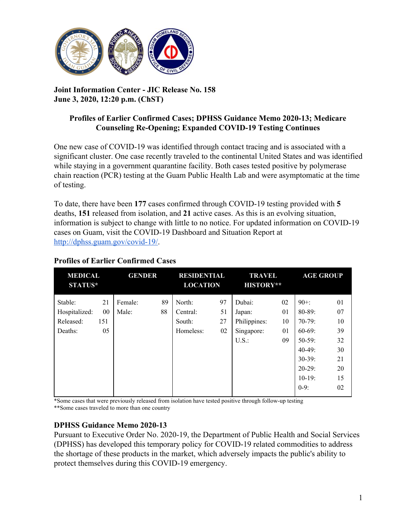

## **Joint Information Center - JIC Release No. 158 June 3, 2020, 12:20 p.m. (ChST)**

## **Profiles of Earlier Confirmed Cases; DPHSS Guidance Memo 2020-13; Medicare Counseling Re-Opening; Expanded COVID-19 Testing Continues**

One new case of COVID-19 was identified through contact tracing and is associated with a significant cluster. One case recently traveled to the continental United States and was identified while staying in a government quarantine facility. Both cases tested positive by polymerase chain reaction (PCR) testing at the Guam Public Health Lab and were asymptomatic at the time of testing.

To date, there have been **177** cases confirmed through COVID-19 testing provided with **5** deaths, **151** released from isolation, and **21** active cases. As this is an evolving situation, information is subject to change with little to no notice. For updated information on COVID-19 cases on Guam, visit the COVID-19 Dashboard and Situation Report at [http://dphss.guam.gov/covid-19/.](http://dphss.guam.gov/covid-19/)

| <b>MEDICAL</b><br><b>STATUS*</b> |     | <b>GENDER</b> |    | <b>RESIDENTIAL</b><br><b>LOCATION</b> |    | <b>TRAVEL</b><br><b>HISTORY**</b> |    | <b>AGE GROUP</b> |    |
|----------------------------------|-----|---------------|----|---------------------------------------|----|-----------------------------------|----|------------------|----|
| Stable:                          | 21  | Female:       | 89 | North:                                | 97 | Dubai:                            | 02 | $90+$ :          | 01 |
| Hospitalized:                    | 00  | Male:         | 88 | Central:                              | 51 | Japan:                            | 01 | $80 - 89$ :      | 07 |
| Released:                        | 151 |               |    | South:                                | 27 | Philippines:                      | 10 | $70-79$ :        | 10 |
| Deaths:                          | 05  |               |    | Homeless:                             | 02 | Singapore:                        | 01 | $60-69$ :        | 39 |
|                                  |     |               |    |                                       |    | U.S.                              | 09 | $50-59$ :        | 32 |
|                                  |     |               |    |                                       |    |                                   |    | $40-49$ :        | 30 |
|                                  |     |               |    |                                       |    |                                   |    | $30-39$ :        | 21 |
|                                  |     |               |    |                                       |    |                                   |    | $20-29$ :        | 20 |
|                                  |     |               |    |                                       |    |                                   |    | $10-19$ :        | 15 |
|                                  |     |               |    |                                       |    |                                   |    | $0-9$ :          | 02 |
|                                  |     |               |    |                                       |    |                                   |    |                  |    |

# **Profiles of Earlier Confirmed Cases**

\*Some cases that were previously released from isolation have tested positive through follow-up testing \*\*Some cases traveled to more than one country

## **DPHSS Guidance Memo 2020-13**

Pursuant to Executive Order No. 2020-19, the Department of Public Health and Social Services (DPHSS) has developed this temporary policy for COVID-19 related commodities to address the shortage of these products in the market, which adversely impacts the public's ability to protect themselves during this COVID-19 emergency.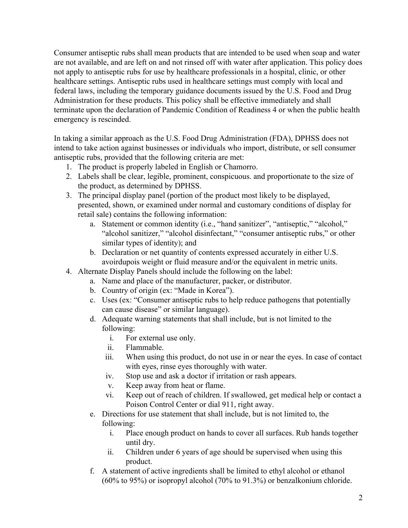Consumer antiseptic rubs shall mean products that are intended to be used when soap and water are not available, and are left on and not rinsed off with water after application. This policy does not apply to antiseptic rubs for use by healthcare professionals in a hospital, clinic, or other healthcare settings. Antiseptic rubs used in healthcare settings must comply with local and federal laws, including the temporary guidance documents issued by the U.S. Food and Drug Administration for these products. This policy shall be effective immediately and shall terminate upon the declaration of Pandemic Condition of Readiness 4 or when the public health emergency is rescinded.

In taking a similar approach as the U.S. Food Drug Administration (FDA), DPHSS does not intend to take action against businesses or individuals who import, distribute, or sell consumer antiseptic rubs, provided that the following criteria are met:

- 1. The product is properly labeled in English or Chamorro.
- 2. Labels shall be clear, legible, prominent, conspicuous. and proportionate to the size of the product, as determined by DPHSS.
- 3. The principal display panel (portion of the product most likely to be displayed, presented, shown, or examined under normal and customary conditions of display for retail sale) contains the following information:
	- a. Statement or common identity (i.e., "hand sanitizer", "antiseptic," "alcohol," "alcohol sanitizer," "alcohol disinfectant," "consumer antiseptic rubs," or other similar types of identity); and
	- b. Declaration or net quantity of contents expressed accurately in either U.S. avoirdupois weight or fluid measure and/or the equivalent in metric units.
- 4. Alternate Display Panels should include the following on the label:
	- a. Name and place of the manufacturer, packer, or distributor.
	- b. Country of origin (ex: "Made in Korea").
	- c. Uses (ex: "Consumer antiseptic rubs to help reduce pathogens that potentially can cause disease" or similar language).
	- d. Adequate warning statements that shall include, but is not limited to the following:
		- i. For external use only.
		- ii. Flammable.
		- iii. When using this product, do not use in or near the eyes. In case of contact with eyes, rinse eyes thoroughly with water.
		- iv. Stop use and ask a doctor if irritation or rash appears.
		- v. Keep away from heat or flame.
		- vi. Keep out of reach of children. If swallowed, get medical help or contact a Poison Control Center or dial 911, right away.
	- e. Directions for use statement that shall include, but is not limited to, the following:
		- i. Place enough product on hands to cover all surfaces. Rub hands together until dry.
		- ii. Children under 6 years of age should be supervised when using this product.
	- f. A statement of active ingredients shall be limited to ethyl alcohol or ethanol (60% to 95%) or isopropyl alcohol (70% to 91.3%) or benzalkonium chloride.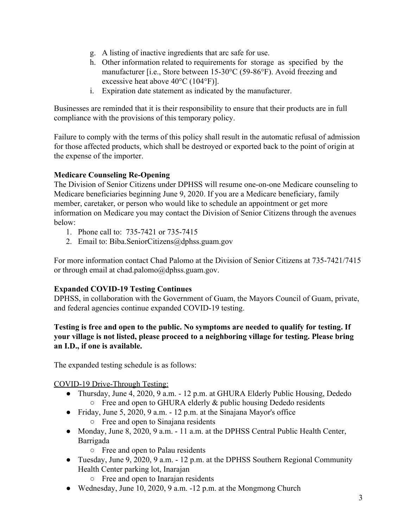- g. A listing of inactive ingredients that arc safe for use.
- h. Other information related to requirements for storage as specified by the manufacturer [i.e., Store between 15-30°C (59-86°F). Avoid freezing and excessive heat above 40°C (104°F)].
- i. Expiration date statement as indicated by the manufacturer.

Businesses are reminded that it is their responsibility to ensure that their products are in full compliance with the provisions of this temporary policy.

Failure to comply with the terms of this policy shall result in the automatic refusal of admission for those affected products, which shall be destroyed or exported back to the point of origin at the expense of the importer.

#### **Medicare Counseling Re-Opening**

The Division of Senior Citizens under DPHSS will resume one-on-one Medicare counseling to Medicare beneficiaries beginning June 9, 2020. If you are a Medicare beneficiary, family member, caretaker, or person who would like to schedule an appointment or get more information on Medicare you may contact the Division of Senior Citizens through the avenues below:

- 1. Phone call to: 735-7421 or 735-7415
- 2. Email to: Biba.SeniorCitizens@dphss.guam.gov

For more information contact Chad Palomo at the Division of Senior Citizens at 735-7421/7415 or through email at chad.palomo@dphss.guam.gov.

#### **Expanded COVID-19 Testing Continues**

DPHSS, in collaboration with the Government of Guam, the Mayors Council of Guam, private, and federal agencies continue expanded COVID-19 testing.

#### **Testing is free and open to the public. No symptoms are needed to qualify for testing. If your village is not listed, please proceed to a neighboring village for testing. Please bring an I.D., if one is available.**

The expanded testing schedule is as follows:

COVID-19 Drive-Through Testing:

- Thursday, June 4, 2020, 9 a.m. 12 p.m. at GHURA Elderly Public Housing, Dededo  $\circ$  Free and open to GHURA elderly & public housing Dededo residents
- Friday, June 5, 2020, 9 a.m. 12 p.m. at the Sinajana Mayor's office
	- Free and open to Sinajana residents
- Monday, June 8, 2020, 9 a.m. 11 a.m. at the DPHSS Central Public Health Center, Barrigada
	- Free and open to Palau residents
- Tuesday, June 9, 2020, 9 a.m. 12 p.m. at the DPHSS Southern Regional Community Health Center parking lot, Inarajan
	- Free and open to Inarajan residents
- Wednesday, June 10, 2020, 9 a.m. -12 p.m. at the Mongmong Church